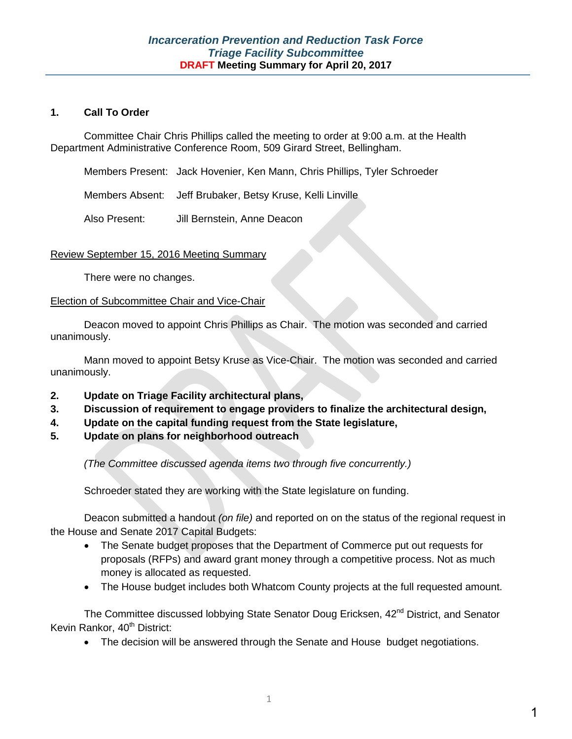#### **1. Call To Order**

Committee Chair Chris Phillips called the meeting to order at 9:00 a.m. at the Health Department Administrative Conference Room, 509 Girard Street, Bellingham.

Members Present: Jack Hovenier, Ken Mann, Chris Phillips, Tyler Schroeder

Members Absent: Jeff Brubaker, Betsy Kruse, Kelli Linville

Also Present: Jill Bernstein, Anne Deacon

#### Review September 15, 2016 Meeting Summary

There were no changes.

#### Election of Subcommittee Chair and Vice-Chair

Deacon moved to appoint Chris Phillips as Chair. The motion was seconded and carried unanimously.

Mann moved to appoint Betsy Kruse as Vice-Chair. The motion was seconded and carried unanimously.

- **2. Update on Triage Facility architectural plans,**
- **3. Discussion of requirement to engage providers to finalize the architectural design,**
- **4. Update on the capital funding request from the State legislature,**
- **5. Update on plans for neighborhood outreach**

*(The Committee discussed agenda items two through five concurrently.)*

Schroeder stated they are working with the State legislature on funding.

Deacon submitted a handout *(on file)* and reported on on the status of the regional request in the House and Senate 2017 Capital Budgets:

- The Senate budget proposes that the Department of Commerce put out requests for proposals (RFPs) and award grant money through a competitive process. Not as much money is allocated as requested.
- The House budget includes both Whatcom County projects at the full requested amount.

The Committee discussed lobbying State Senator Doug Ericksen, 42<sup>nd</sup> District, and Senator Kevin Rankor, 40<sup>th</sup> District:

• The decision will be answered through the Senate and House budget negotiations.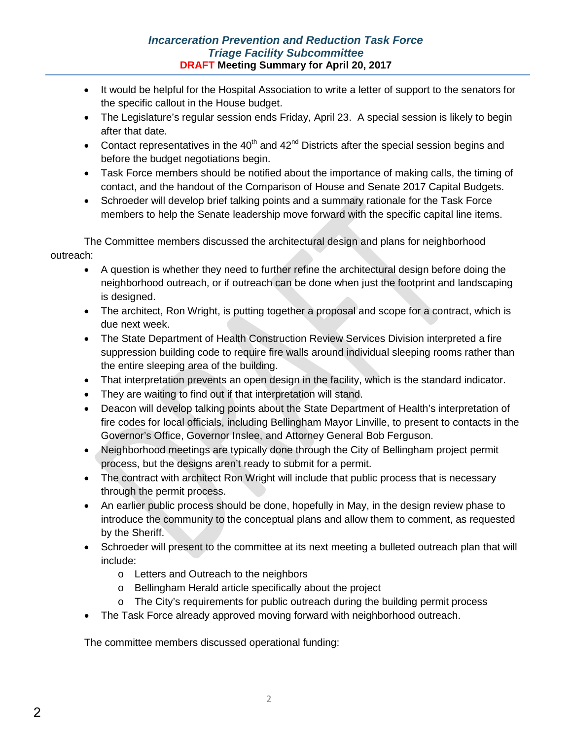## *Incarceration Prevention and Reduction Task Force Triage Facility Subcommittee* **DRAFT Meeting Summary for April 20, 2017**

- It would be helpful for the Hospital Association to write a letter of support to the senators for the specific callout in the House budget.
- The Legislature's regular session ends Friday, April 23. A special session is likely to begin after that date.
- Contact representatives in the 40<sup>th</sup> and 42<sup>nd</sup> Districts after the special session begins and before the budget negotiations begin.
- Task Force members should be notified about the importance of making calls, the timing of contact, and the handout of the Comparison of House and Senate 2017 Capital Budgets.
- Schroeder will develop brief talking points and a summary rationale for the Task Force members to help the Senate leadership move forward with the specific capital line items.

The Committee members discussed the architectural design and plans for neighborhood outreach:

- A question is whether they need to further refine the architectural design before doing the neighborhood outreach, or if outreach can be done when just the footprint and landscaping is designed.
- The architect, Ron Wright, is putting together a proposal and scope for a contract, which is due next week.
- The State Department of Health Construction Review Services Division interpreted a fire suppression building code to require fire walls around individual sleeping rooms rather than the entire sleeping area of the building.
- That interpretation prevents an open design in the facility, which is the standard indicator.
- They are waiting to find out if that interpretation will stand.
- Deacon will develop talking points about the State Department of Health's interpretation of fire codes for local officials, including Bellingham Mayor Linville, to present to contacts in the Governor's Office, Governor Inslee, and Attorney General Bob Ferguson.
- Neighborhood meetings are typically done through the City of Bellingham project permit process, but the designs aren't ready to submit for a permit.
- The contract with architect Ron Wright will include that public process that is necessary through the permit process.
- An earlier public process should be done, hopefully in May, in the design review phase to introduce the community to the conceptual plans and allow them to comment, as requested by the Sheriff.
- Schroeder will present to the committee at its next meeting a bulleted outreach plan that will include:
	- o Letters and Outreach to the neighbors
	- o Bellingham Herald article specifically about the project
	- o The City's requirements for public outreach during the building permit process
- The Task Force already approved moving forward with neighborhood outreach.

The committee members discussed operational funding: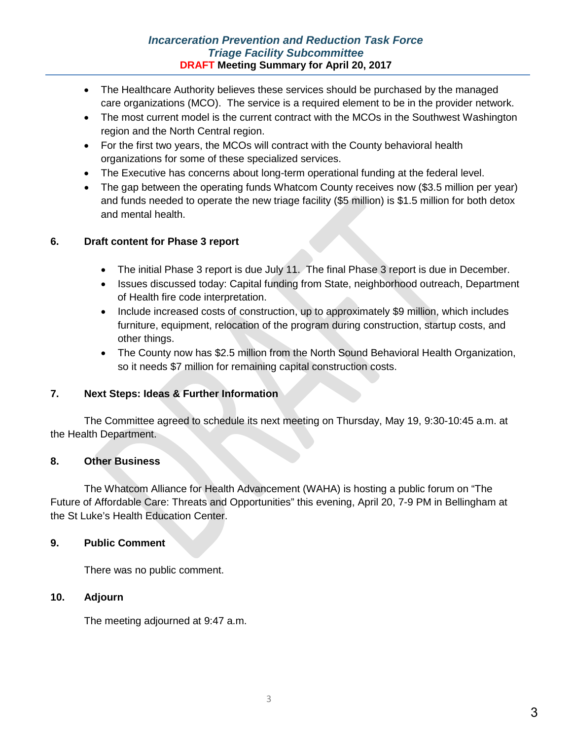### *Incarceration Prevention and Reduction Task Force Triage Facility Subcommittee* **DRAFT Meeting Summary for April 20, 2017**

- The Healthcare Authority believes these services should be purchased by the managed care organizations (MCO). The service is a required element to be in the provider network.
- The most current model is the current contract with the MCOs in the Southwest Washington region and the North Central region.
- For the first two years, the MCOs will contract with the County behavioral health organizations for some of these specialized services.
- The Executive has concerns about long-term operational funding at the federal level.
- The gap between the operating funds Whatcom County receives now (\$3.5 million per year) and funds needed to operate the new triage facility (\$5 million) is \$1.5 million for both detox and mental health.

## **6. Draft content for Phase 3 report**

- The initial Phase 3 report is due July 11. The final Phase 3 report is due in December.
- Issues discussed today: Capital funding from State, neighborhood outreach, Department of Health fire code interpretation.
- Include increased costs of construction, up to approximately \$9 million, which includes furniture, equipment, relocation of the program during construction, startup costs, and other things.
- The County now has \$2.5 million from the North Sound Behavioral Health Organization, so it needs \$7 million for remaining capital construction costs.

### **7. Next Steps: Ideas & Further Information**

The Committee agreed to schedule its next meeting on Thursday, May 19, 9:30-10:45 a.m. at the Health Department.

### **8. Other Business**

The Whatcom Alliance for Health Advancement (WAHA) is hosting a public forum on "The Future of Affordable Care: Threats and Opportunities" this evening, April 20, 7-9 PM in Bellingham at the St Luke's Health Education Center.

### **9. Public Comment**

There was no public comment.

### **10. Adjourn**

The meeting adjourned at 9:47 a.m.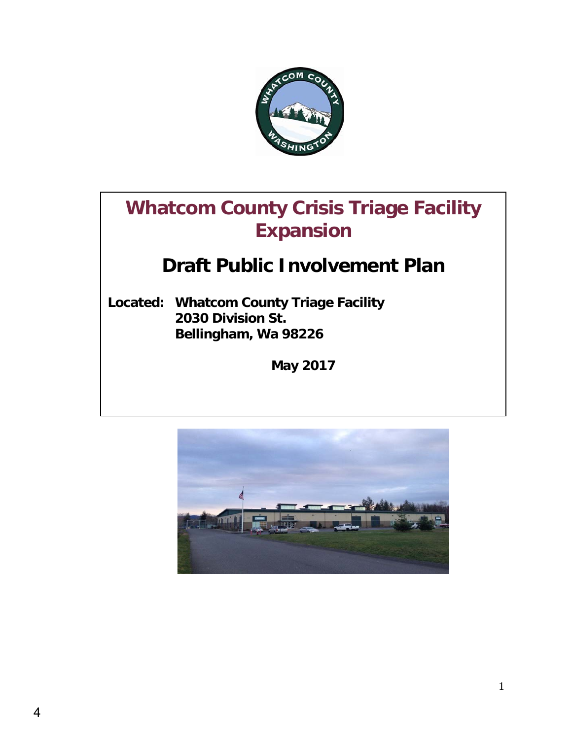

# **Whatcom County Crisis Triage Facility Expansion**

# **Draft Public Involvement Plan**

**Located: Whatcom County Triage Facility 2030 Division St. Bellingham, Wa 98226**

**May 2017**

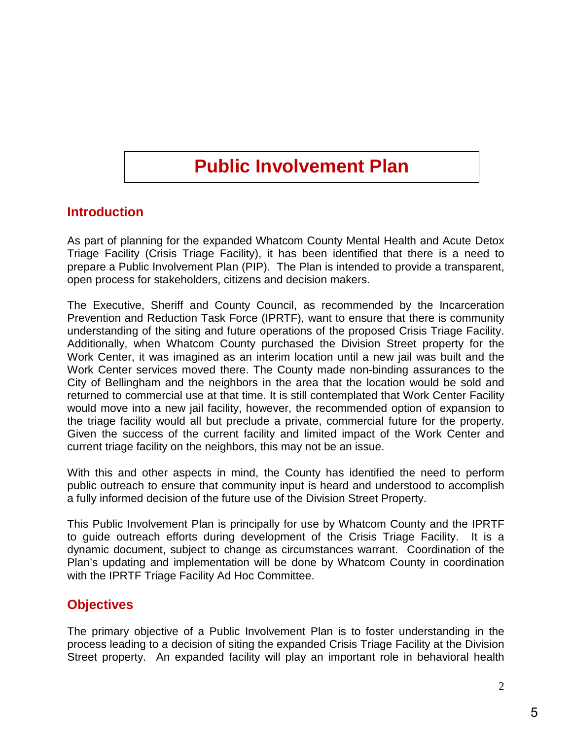# **Public Involvement Plan**

# **Introduction**

As part of planning for the expanded Whatcom County Mental Health and Acute Detox Triage Facility (Crisis Triage Facility), it has been identified that there is a need to prepare a Public Involvement Plan (PIP). The Plan is intended to provide a transparent, open process for stakeholders, citizens and decision makers.

The Executive, Sheriff and County Council, as recommended by the Incarceration Prevention and Reduction Task Force (IPRTF), want to ensure that there is community understanding of the siting and future operations of the proposed Crisis Triage Facility. Additionally, when Whatcom County purchased the Division Street property for the Work Center, it was imagined as an interim location until a new jail was built and the Work Center services moved there. The County made non-binding assurances to the City of Bellingham and the neighbors in the area that the location would be sold and returned to commercial use at that time. It is still contemplated that Work Center Facility would move into a new jail facility, however, the recommended option of expansion to the triage facility would all but preclude a private, commercial future for the property. Given the success of the current facility and limited impact of the Work Center and current triage facility on the neighbors, this may not be an issue.

With this and other aspects in mind, the County has identified the need to perform public outreach to ensure that community input is heard and understood to accomplish a fully informed decision of the future use of the Division Street Property.

This Public Involvement Plan is principally for use by Whatcom County and the IPRTF to guide outreach efforts during development of the Crisis Triage Facility. It is a dynamic document, subject to change as circumstances warrant. Coordination of the Plan's updating and implementation will be done by Whatcom County in coordination with the IPRTF Triage Facility Ad Hoc Committee.

# **Objectives**

The primary objective of a Public Involvement Plan is to foster understanding in the process leading to a decision of siting the expanded Crisis Triage Facility at the Division Street property. An expanded facility will play an important role in behavioral health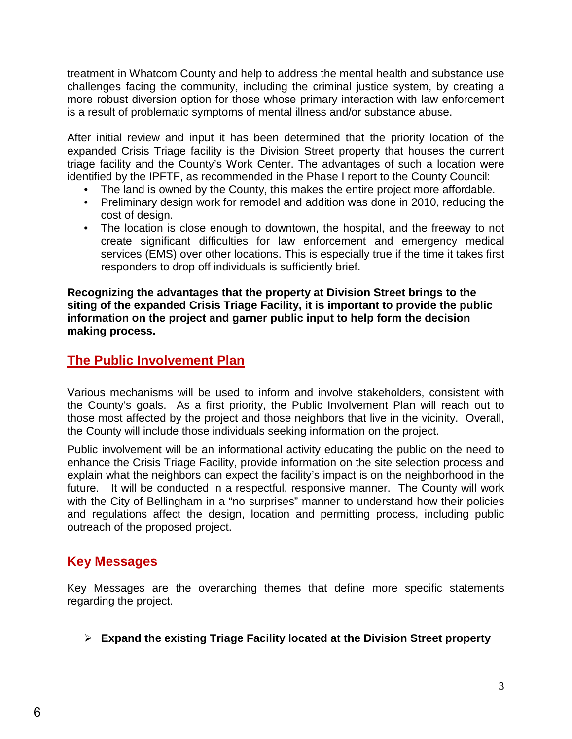treatment in Whatcom County and help to address the mental health and substance use challenges facing the community, including the criminal justice system, by creating a more robust diversion option for those whose primary interaction with law enforcement is a result of problematic symptoms of mental illness and/or substance abuse.

After initial review and input it has been determined that the priority location of the expanded Crisis Triage facility is the Division Street property that houses the current triage facility and the County's Work Center. The advantages of such a location were identified by the IPFTF, as recommended in the Phase I report to the County Council:

- The land is owned by the County, this makes the entire project more affordable.
- Preliminary design work for remodel and addition was done in 2010, reducing the cost of design.
- The location is close enough to downtown, the hospital, and the freeway to not create significant difficulties for law enforcement and emergency medical services (EMS) over other locations. This is especially true if the time it takes first responders to drop off individuals is sufficiently brief.

**Recognizing the advantages that the property at Division Street brings to the siting of the expanded Crisis Triage Facility, it is important to provide the public information on the project and garner public input to help form the decision making process.** 

# **The Public Involvement Plan**

Various mechanisms will be used to inform and involve stakeholders, consistent with the County's goals. As a first priority, the Public Involvement Plan will reach out to those most affected by the project and those neighbors that live in the vicinity. Overall, the County will include those individuals seeking information on the project.

Public involvement will be an informational activity educating the public on the need to enhance the Crisis Triage Facility, provide information on the site selection process and explain what the neighbors can expect the facility's impact is on the neighborhood in the future. It will be conducted in a respectful, responsive manner. The County will work with the City of Bellingham in a "no surprises" manner to understand how their policies and regulations affect the design, location and permitting process, including public outreach of the proposed project.

# **Key Messages**

Key Messages are the overarching themes that define more specific statements regarding the project.

# **Expand the existing Triage Facility located at the Division Street property**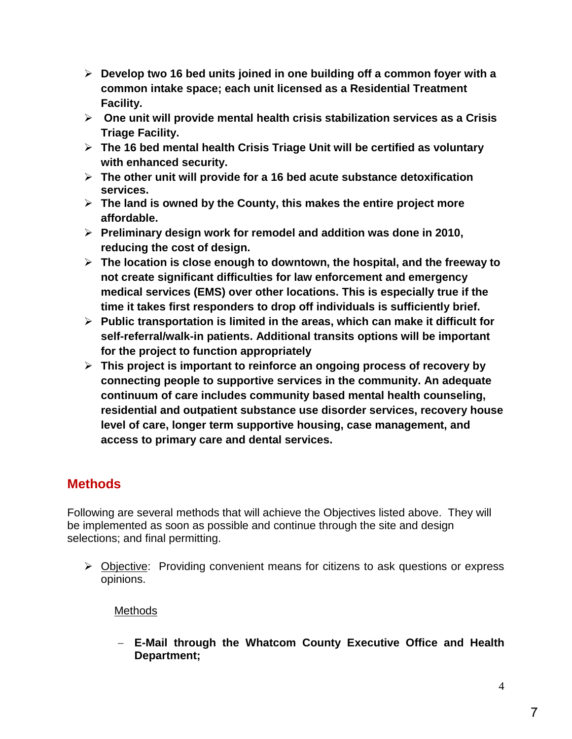- **Develop two 16 bed units joined in one building off a common foyer with a common intake space; each unit licensed as a Residential Treatment Facility.**
- **One unit will provide mental health crisis stabilization services as a Crisis Triage Facility.**
- **The 16 bed mental health Crisis Triage Unit will be certified as voluntary with enhanced security.**
- **The other unit will provide for a 16 bed acute substance detoxification services.**
- **The land is owned by the County, this makes the entire project more affordable.**
- **Preliminary design work for remodel and addition was done in 2010, reducing the cost of design.**
- **The location is close enough to downtown, the hospital, and the freeway to not create significant difficulties for law enforcement and emergency medical services (EMS) over other locations. This is especially true if the time it takes first responders to drop off individuals is sufficiently brief.**
- **Public transportation is limited in the areas, which can make it difficult for self-referral/walk-in patients. Additional transits options will be important for the project to function appropriately**
- **This project is important to reinforce an ongoing process of recovery by connecting people to supportive services in the community. An adequate continuum of care includes community based mental health counseling, residential and outpatient substance use disorder services, recovery house level of care, longer term supportive housing, case management, and access to primary care and dental services.**

# **Methods**

Following are several methods that will achieve the Objectives listed above. They will be implemented as soon as possible and continue through the site and design selections; and final permitting.

 Objective: Providing convenient means for citizens to ask questions or express opinions.

# **Methods**

− **E-Mail through the Whatcom County Executive Office and Health Department;**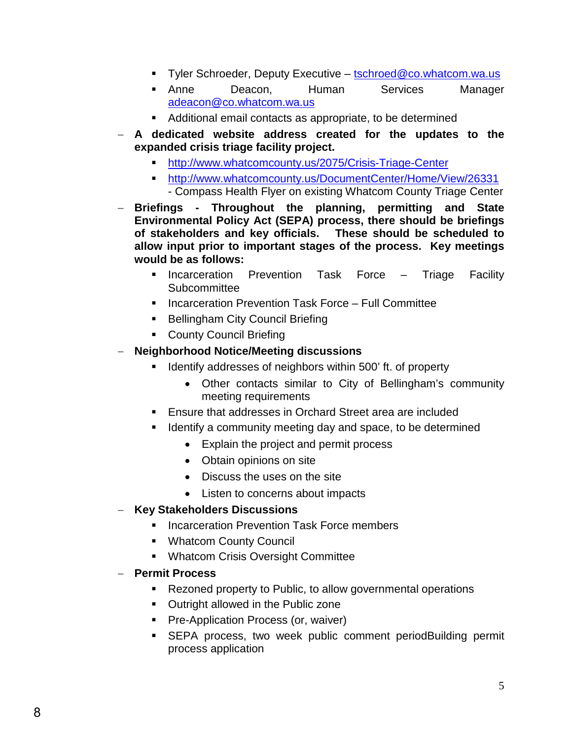- Tyler Schroeder, Deputy Executive – [tschroed@co.whatcom.wa.us](mailto:tschroed@co.whatcom.wa.us)
- **Anne** Deacon, Human Services Manager [adeacon@co.whatcom.wa.us](mailto:adeacon@co.whatcom.wa.us)
- Additional email contacts as appropriate, to be determined
- − **A dedicated website address created for the updates to the expanded crisis triage facility project.** 
	- <http://www.whatcomcounty.us/2075/Crisis-Triage-Center>
		- <http://www.whatcomcounty.us/DocumentCenter/Home/View/26331>
		- Compass Health Flyer on existing Whatcom County Triage Center
- − **Briefings Throughout the planning, permitting and State Environmental Policy Act (SEPA) process, there should be briefings of stakeholders and key officials. These should be scheduled to allow input prior to important stages of the process. Key meetings would be as follows:**
	- **Incarceration Prevention Task Force Triage Facility Subcommittee**
	- **Incarceration Prevention Task Force Full Committee**
	- **Bellingham City Council Briefing**
	- **County Council Briefing**

## − **Neighborhood Notice/Meeting discussions**

- Identify addresses of neighbors within 500' ft. of property
	- Other contacts similar to City of Bellingham's community meeting requirements
- Ensure that addresses in Orchard Street area are included
- Identify a community meeting day and space, to be determined
	- Explain the project and permit process
	- Obtain opinions on site
	- Discuss the uses on the site
	- Listen to concerns about impacts
- − **Key Stakeholders Discussions**
	- Incarceration Prevention Task Force members
	- Whatcom County Council
	- Whatcom Crisis Oversight Committee
- − **Permit Process**
	- Rezoned property to Public, to allow governmental operations
	- **Outright allowed in the Public zone**
	- **Pre-Application Process (or, waiver)**
	- SEPA process, two week public comment periodBuilding permit process application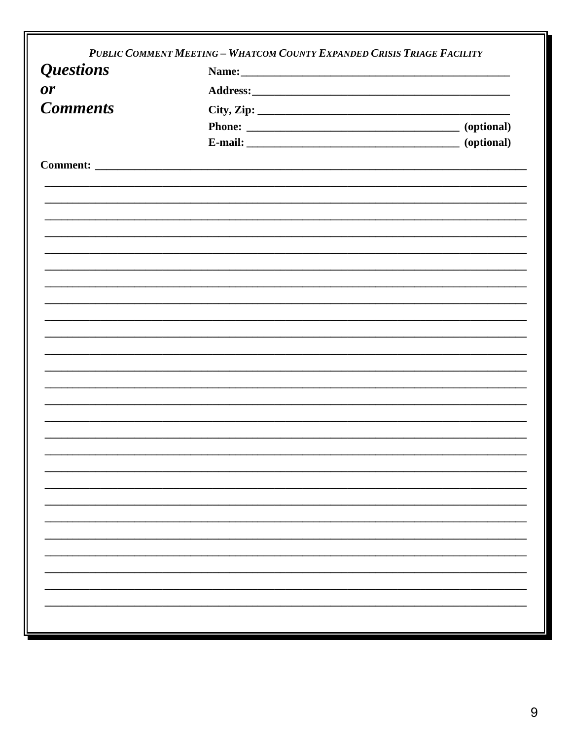|                  | PUBLIC COMMENT MEETING - WHATCOM COUNTY EXPANDED CRISIS TRIAGE FACILITY |                    |  |  |  |  |  |
|------------------|-------------------------------------------------------------------------|--------------------|--|--|--|--|--|
| <b>Questions</b> | Name:                                                                   |                    |  |  |  |  |  |
| <b>or</b>        |                                                                         |                    |  |  |  |  |  |
| <b>Comments</b>  |                                                                         |                    |  |  |  |  |  |
|                  |                                                                         |                    |  |  |  |  |  |
|                  |                                                                         | E-mail: (optional) |  |  |  |  |  |
|                  |                                                                         |                    |  |  |  |  |  |
|                  |                                                                         |                    |  |  |  |  |  |
|                  |                                                                         |                    |  |  |  |  |  |
|                  |                                                                         |                    |  |  |  |  |  |
|                  |                                                                         |                    |  |  |  |  |  |
|                  |                                                                         |                    |  |  |  |  |  |
|                  |                                                                         |                    |  |  |  |  |  |
|                  |                                                                         |                    |  |  |  |  |  |
|                  |                                                                         |                    |  |  |  |  |  |
|                  |                                                                         |                    |  |  |  |  |  |
|                  |                                                                         |                    |  |  |  |  |  |
|                  |                                                                         |                    |  |  |  |  |  |
|                  |                                                                         |                    |  |  |  |  |  |
|                  |                                                                         |                    |  |  |  |  |  |
|                  |                                                                         |                    |  |  |  |  |  |
|                  |                                                                         |                    |  |  |  |  |  |
|                  |                                                                         |                    |  |  |  |  |  |
|                  |                                                                         |                    |  |  |  |  |  |
|                  |                                                                         |                    |  |  |  |  |  |
|                  |                                                                         |                    |  |  |  |  |  |
|                  |                                                                         |                    |  |  |  |  |  |
|                  |                                                                         |                    |  |  |  |  |  |
|                  |                                                                         |                    |  |  |  |  |  |
|                  |                                                                         |                    |  |  |  |  |  |
|                  |                                                                         |                    |  |  |  |  |  |
|                  |                                                                         |                    |  |  |  |  |  |
|                  |                                                                         |                    |  |  |  |  |  |
|                  |                                                                         |                    |  |  |  |  |  |
|                  |                                                                         |                    |  |  |  |  |  |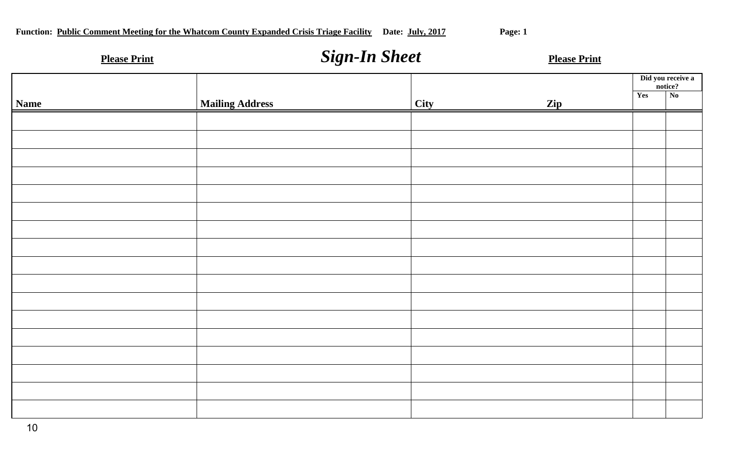| <b>Please Print</b> |                        | <b>Sign-In Sheet</b> |      | <b>Please Print</b> |                                                               |
|---------------------|------------------------|----------------------|------|---------------------|---------------------------------------------------------------|
| <b>Name</b>         | <b>Mailing Address</b> |                      | City | Zip                 | Did you receive a<br>notice?<br>Yes<br>$\overline{\text{No}}$ |
|                     |                        |                      |      |                     |                                                               |
|                     |                        |                      |      |                     |                                                               |
|                     |                        |                      |      |                     |                                                               |
|                     |                        |                      |      |                     |                                                               |
|                     |                        |                      |      |                     |                                                               |
|                     |                        |                      |      |                     |                                                               |
|                     |                        |                      |      |                     |                                                               |
|                     |                        |                      |      |                     |                                                               |
|                     |                        |                      |      |                     |                                                               |
|                     |                        |                      |      |                     |                                                               |
|                     |                        |                      |      |                     |                                                               |
|                     |                        |                      |      |                     |                                                               |
|                     |                        |                      |      |                     |                                                               |
|                     |                        |                      |      |                     |                                                               |
|                     |                        |                      |      |                     |                                                               |
|                     |                        |                      |      |                     |                                                               |
|                     |                        |                      |      |                     |                                                               |
|                     |                        |                      |      |                     |                                                               |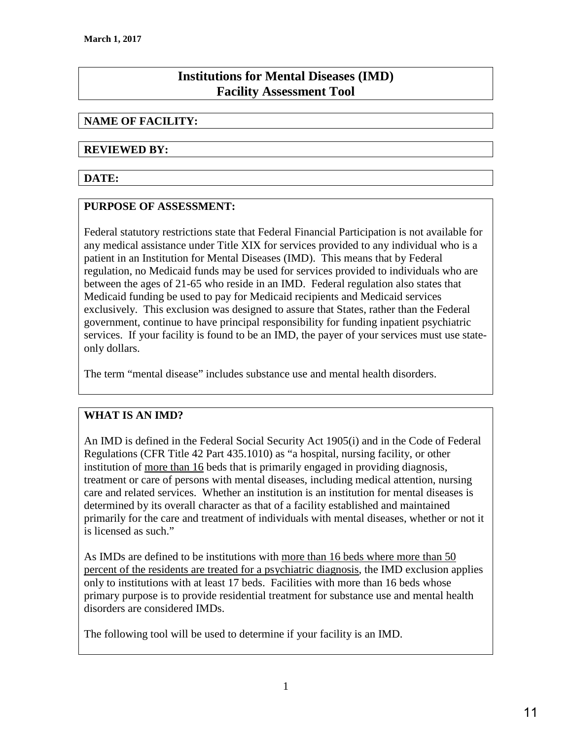# **Institutions for Mental Diseases (IMD) Facility Assessment Tool**

## **NAME OF FACILITY:**

#### **REVIEWED BY:**

## **DATE:**

### **PURPOSE OF ASSESSMENT:**

Federal statutory restrictions state that Federal Financial Participation is not available for any medical assistance under Title XIX for services provided to any individual who is a patient in an Institution for Mental Diseases (IMD). This means that by Federal regulation, no Medicaid funds may be used for services provided to individuals who are between the ages of 21-65 who reside in an IMD. Federal regulation also states that Medicaid funding be used to pay for Medicaid recipients and Medicaid services exclusively. This exclusion was designed to assure that States, rather than the Federal government, continue to have principal responsibility for funding inpatient psychiatric services. If your facility is found to be an IMD, the payer of your services must use stateonly dollars.

The term "mental disease" includes substance use and mental health disorders.

# **WHAT IS AN IMD?**

An IMD is defined in the Federal Social Security Act 1905(i) and in the Code of Federal Regulations (CFR Title 42 Part 435.1010) as "a hospital, nursing facility, or other institution of more than 16 beds that is primarily engaged in providing diagnosis, treatment or care of persons with mental diseases, including medical attention, nursing care and related services. Whether an institution is an institution for mental diseases is determined by its overall character as that of a facility established and maintained primarily for the care and treatment of individuals with mental diseases, whether or not it is licensed as such."

As IMDs are defined to be institutions with more than 16 beds where more than 50 percent of the residents are treated for a psychiatric diagnosis, the IMD exclusion applies only to institutions with at least 17 beds. Facilities with more than 16 beds whose primary purpose is to provide residential treatment for substance use and mental health disorders are considered IMDs.

The following tool will be used to determine if your facility is an IMD.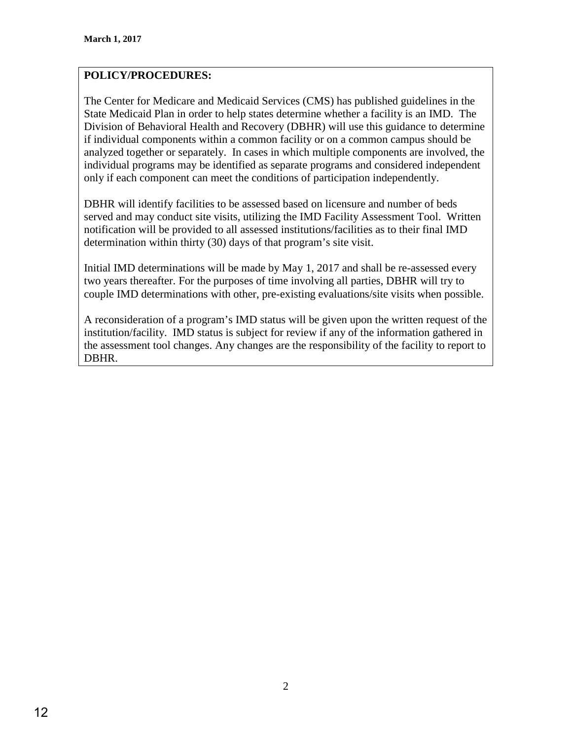# **POLICY/PROCEDURES:**

The Center for Medicare and Medicaid Services (CMS) has published guidelines in the State Medicaid Plan in order to help states determine whether a facility is an IMD. The Division of Behavioral Health and Recovery (DBHR) will use this guidance to determine if individual components within a common facility or on a common campus should be analyzed together or separately. In cases in which multiple components are involved, the individual programs may be identified as separate programs and considered independent only if each component can meet the conditions of participation independently.

DBHR will identify facilities to be assessed based on licensure and number of beds served and may conduct site visits, utilizing the IMD Facility Assessment Tool. Written notification will be provided to all assessed institutions/facilities as to their final IMD determination within thirty (30) days of that program's site visit.

Initial IMD determinations will be made by May 1, 2017 and shall be re-assessed every two years thereafter. For the purposes of time involving all parties, DBHR will try to couple IMD determinations with other, pre-existing evaluations/site visits when possible.

A reconsideration of a program's IMD status will be given upon the written request of the institution/facility. IMD status is subject for review if any of the information gathered in the assessment tool changes. Any changes are the responsibility of the facility to report to DBHR.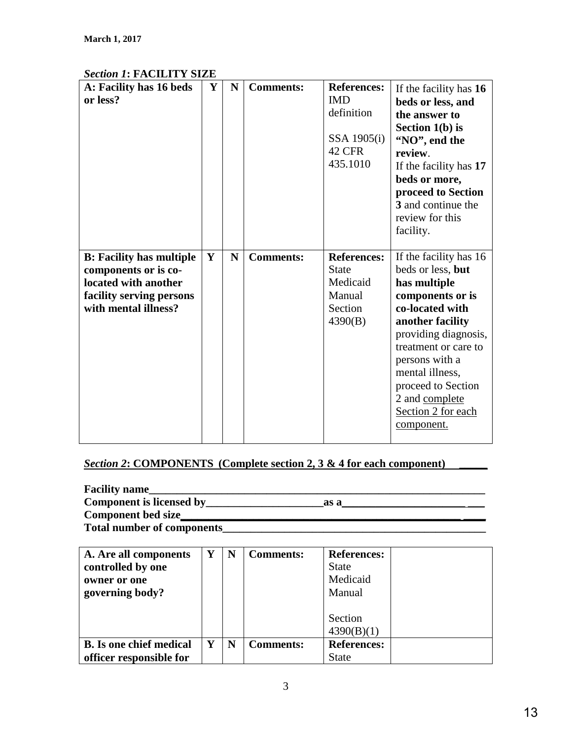| <i>Sechon 1</i> . FAUILITT SI <i>L</i> E |   |   |                  |                    |                        |
|------------------------------------------|---|---|------------------|--------------------|------------------------|
| A: Facility has 16 beds                  | Y | N | <b>Comments:</b> | <b>References:</b> | If the facility has 16 |
| or less?                                 |   |   |                  | <b>IMD</b>         | beds or less, and      |
|                                          |   |   |                  | definition         | the answer to          |
|                                          |   |   |                  |                    | Section $1(b)$ is      |
|                                          |   |   |                  | SSA 1905(i)        |                        |
|                                          |   |   |                  | <b>42 CFR</b>      | "NO", end the          |
|                                          |   |   |                  |                    | review.                |
|                                          |   |   |                  | 435.1010           | If the facility has 17 |
|                                          |   |   |                  |                    | beds or more,          |
|                                          |   |   |                  |                    | proceed to Section     |
|                                          |   |   |                  |                    | 3 and continue the     |
|                                          |   |   |                  |                    | review for this        |
|                                          |   |   |                  |                    | facility.              |
|                                          |   |   |                  |                    |                        |
| <b>B:</b> Facility has multiple          | Y | N | <b>Comments:</b> | <b>References:</b> | If the facility has 16 |
|                                          |   |   |                  | <b>State</b>       | beds or less, but      |
| components or is co-                     |   |   |                  |                    |                        |
| located with another                     |   |   |                  | Medicaid           | has multiple           |
| facility serving persons                 |   |   |                  | Manual             | components or is       |
| with mental illness?                     |   |   |                  | Section            | co-located with        |
|                                          |   |   |                  | 4390(B)            | another facility       |
|                                          |   |   |                  |                    | providing diagnosis,   |
|                                          |   |   |                  |                    | treatment or care to   |
|                                          |   |   |                  |                    | persons with a         |
|                                          |   |   |                  |                    | mental illness,        |
|                                          |   |   |                  |                    |                        |
|                                          |   |   |                  |                    | proceed to Section     |
|                                          |   |   |                  |                    | 2 and complete         |
|                                          |   |   |                  |                    | Section 2 for each     |
|                                          |   |   |                  |                    | component.             |
|                                          |   |   |                  |                    |                        |

# *Section 1***: FACILITY SIZE**

# *Section 2***: COMPONENTS (Complete section 2, 3 & 4 for each component) \_\_\_\_\_**

| <b>Facility name</b>              |      |  |
|-----------------------------------|------|--|
| Component is licensed by          | as a |  |
| <b>Component bed size</b>         |      |  |
| <b>Total number of components</b> |      |  |

| A. Are all components<br>controlled by one<br>owner or one<br>governing body? | Y | N | <b>Comments:</b> | <b>References:</b><br><b>State</b><br>Medicaid<br>Manual |
|-------------------------------------------------------------------------------|---|---|------------------|----------------------------------------------------------|
|                                                                               |   |   |                  | Section<br>4390(B)(1)                                    |
| <b>B.</b> Is one chief medical<br>officer responsible for                     | Y | N | <b>Comments:</b> | <b>References:</b><br><b>State</b>                       |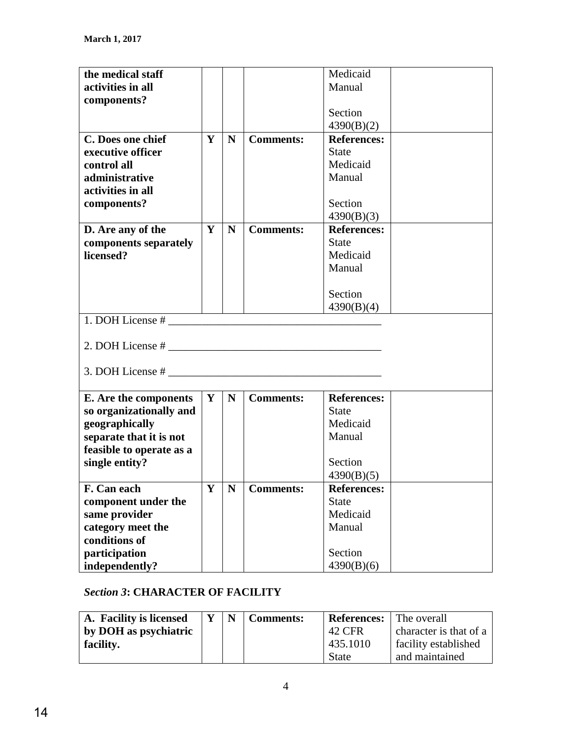| the medical staff        |   |             |                  | Medicaid           |  |
|--------------------------|---|-------------|------------------|--------------------|--|
| activities in all        |   |             |                  | Manual             |  |
| components?              |   |             |                  |                    |  |
|                          |   |             |                  | Section            |  |
|                          |   |             |                  | 4390(B)(2)         |  |
| C. Does one chief        | Y | N           | <b>Comments:</b> | <b>References:</b> |  |
| executive officer        |   |             |                  | <b>State</b>       |  |
| control all              |   |             |                  | Medicaid           |  |
| administrative           |   |             |                  | Manual             |  |
| activities in all        |   |             |                  |                    |  |
| components?              |   |             |                  | Section            |  |
|                          |   |             |                  |                    |  |
|                          |   |             |                  | 4390(B)(3)         |  |
| D. Are any of the        | Y | N           | <b>Comments:</b> | <b>References:</b> |  |
| components separately    |   |             |                  | <b>State</b>       |  |
| licensed?                |   |             |                  | Medicaid           |  |
|                          |   |             |                  | Manual             |  |
|                          |   |             |                  |                    |  |
|                          |   |             |                  | Section            |  |
|                          |   |             |                  | 4390(B)(4)         |  |
| 1. DOH License #         |   |             |                  |                    |  |
|                          |   |             |                  |                    |  |
|                          |   |             |                  |                    |  |
|                          |   |             |                  |                    |  |
|                          |   |             |                  |                    |  |
|                          |   |             |                  |                    |  |
| E. Are the components    | Y | $\mathbf N$ | <b>Comments:</b> | <b>References:</b> |  |
| so organizationally and  |   |             |                  | <b>State</b>       |  |
| geographically           |   |             |                  | Medicaid           |  |
| separate that it is not  |   |             |                  | Manual             |  |
| feasible to operate as a |   |             |                  |                    |  |
| single entity?           |   |             |                  | Section            |  |
|                          |   |             |                  |                    |  |
|                          |   |             |                  | 4390(B)(5)         |  |
| F. Can each              | Y | N           | <b>Comments:</b> | <b>References:</b> |  |
| component under the      |   |             |                  | <b>State</b>       |  |
| same provider            |   |             |                  | Medicaid           |  |
| category meet the        |   |             |                  | Manual             |  |
| conditions of            |   |             |                  |                    |  |
| participation            |   |             |                  | Section            |  |
| independently?           |   |             |                  | 4390(B)(6)         |  |

# *Section 3***: CHARACTER OF FACILITY**

| A. Facility is licensed |  | <b>Comments:</b> | <b>References:</b> | l The overall          |
|-------------------------|--|------------------|--------------------|------------------------|
| by DOH as psychiatric   |  |                  | 42 CFR             | character is that of a |
| facility.               |  |                  | 435.1010           | facility established   |
|                         |  |                  | <b>State</b>       | and maintained         |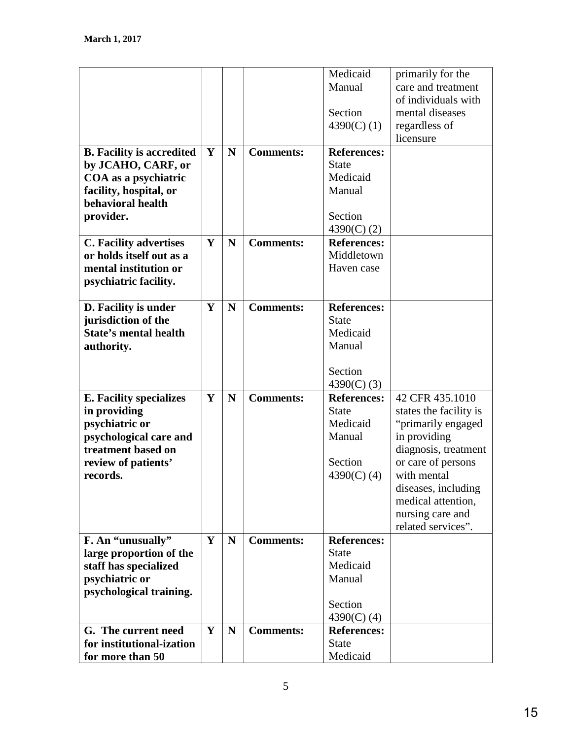|                                  |   |   |                  | Medicaid           | primarily for the      |
|----------------------------------|---|---|------------------|--------------------|------------------------|
|                                  |   |   |                  | Manual             | care and treatment     |
|                                  |   |   |                  |                    | of individuals with    |
|                                  |   |   |                  | Section            | mental diseases        |
|                                  |   |   |                  | 4390(C) $(1)$      | regardless of          |
|                                  |   |   |                  |                    | licensure              |
|                                  | Y | N |                  | <b>References:</b> |                        |
| <b>B.</b> Facility is accredited |   |   | <b>Comments:</b> | <b>State</b>       |                        |
| by JCAHO, CARF, or               |   |   |                  |                    |                        |
| COA as a psychiatric             |   |   |                  | Medicaid           |                        |
| facility, hospital, or           |   |   |                  | Manual             |                        |
| behavioral health                |   |   |                  |                    |                        |
| provider.                        |   |   |                  | Section            |                        |
|                                  |   |   |                  | 4390(C) $(2)$      |                        |
| C. Facility advertises           | Y | N | <b>Comments:</b> | <b>References:</b> |                        |
| or holds itself out as a         |   |   |                  | Middletown         |                        |
| mental institution or            |   |   |                  | Haven case         |                        |
| psychiatric facility.            |   |   |                  |                    |                        |
|                                  |   |   |                  |                    |                        |
| D. Facility is under             | Y | N | <b>Comments:</b> | <b>References:</b> |                        |
| jurisdiction of the              |   |   |                  | <b>State</b>       |                        |
| State's mental health            |   |   |                  | Medicaid           |                        |
| authority.                       |   |   |                  | Manual             |                        |
|                                  |   |   |                  |                    |                        |
|                                  |   |   |                  | Section            |                        |
|                                  |   |   |                  | $4390(C)$ (3)      |                        |
| <b>E. Facility specializes</b>   | Y | N | <b>Comments:</b> | <b>References:</b> | 42 CFR 435.1010        |
| in providing                     |   |   |                  | <b>State</b>       | states the facility is |
| psychiatric or                   |   |   |                  | Medicaid           | "primarily engaged     |
| psychological care and           |   |   |                  | Manual             | in providing           |
| treatment based on               |   |   |                  |                    | diagnosis, treatment   |
| review of patients'              |   |   |                  | Section            | or care of persons     |
| records.                         |   |   |                  | 4390(C) $(4)$      | with mental            |
|                                  |   |   |                  |                    | diseases, including    |
|                                  |   |   |                  |                    | medical attention,     |
|                                  |   |   |                  |                    | nursing care and       |
|                                  |   |   |                  |                    |                        |
|                                  | Y | N | <b>Comments:</b> | <b>References:</b> | related services".     |
| F. An "unusually"                |   |   |                  | <b>State</b>       |                        |
| large proportion of the          |   |   |                  |                    |                        |
| staff has specialized            |   |   |                  | Medicaid           |                        |
| psychiatric or                   |   |   |                  | Manual             |                        |
| psychological training.          |   |   |                  |                    |                        |
|                                  |   |   |                  | Section            |                        |
|                                  |   |   |                  | 4390(C) $(4)$      |                        |
| G. The current need              | Y | N | <b>Comments:</b> | <b>References:</b> |                        |
| for institutional-ization        |   |   |                  | <b>State</b>       |                        |
| for more than 50                 |   |   |                  | Medicaid           |                        |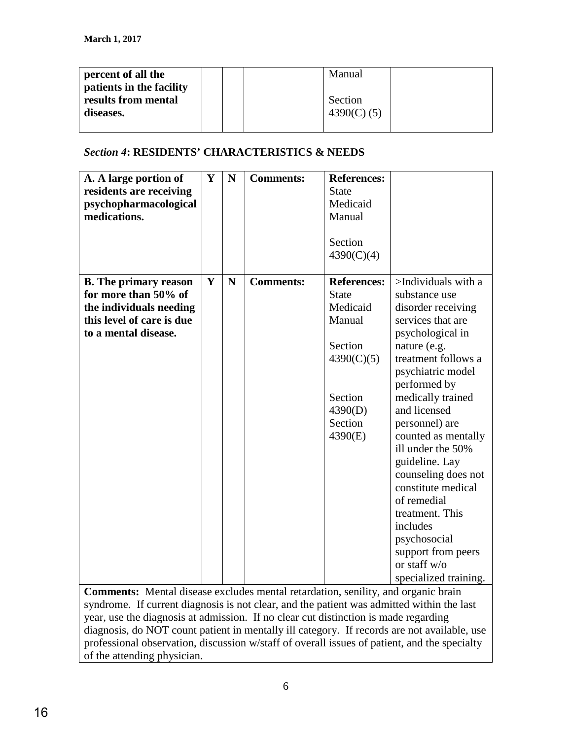| percent of all the<br>patients in the facility |  | Manual        |  |
|------------------------------------------------|--|---------------|--|
| results from mental                            |  | Section       |  |
| diseases.                                      |  | $4390(C)$ (5) |  |

## *Section 4***: RESIDENTS' CHARACTERISTICS & NEEDS**

| A. A large portion of<br>residents are receiving<br>psychopharmacological<br>medications.                                            | Y | $\mathbf N$ | <b>Comments:</b> | <b>References:</b><br><b>State</b><br>Medicaid<br>Manual<br>Section<br>4390(C)(4)                                             |                                                                                                                                                                                                                                                                                                                                                                                                                                                                                |
|--------------------------------------------------------------------------------------------------------------------------------------|---|-------------|------------------|-------------------------------------------------------------------------------------------------------------------------------|--------------------------------------------------------------------------------------------------------------------------------------------------------------------------------------------------------------------------------------------------------------------------------------------------------------------------------------------------------------------------------------------------------------------------------------------------------------------------------|
| <b>B.</b> The primary reason<br>for more than 50% of<br>the individuals needing<br>this level of care is due<br>to a mental disease. | Y | $\mathbf N$ | <b>Comments:</b> | <b>References:</b><br><b>State</b><br>Medicaid<br>Manual<br>Section<br>4390(C)(5)<br>Section<br>4390(D)<br>Section<br>4390(E) | >Individuals with a<br>substance use<br>disorder receiving<br>services that are<br>psychological in<br>nature (e.g.<br>treatment follows a<br>psychiatric model<br>performed by<br>medically trained<br>and licensed<br>personnel) are<br>counted as mentally<br>ill under the 50%<br>guideline. Lay<br>counseling does not<br>constitute medical<br>of remedial<br>treatment. This<br>includes<br>psychosocial<br>support from peers<br>or staff w/o<br>specialized training. |

**Comments:** Mental disease excludes mental retardation, senility, and organic brain syndrome. If current diagnosis is not clear, and the patient was admitted within the last year, use the diagnosis at admission. If no clear cut distinction is made regarding diagnosis, do NOT count patient in mentally ill category. If records are not available, use professional observation, discussion w/staff of overall issues of patient, and the specialty of the attending physician.